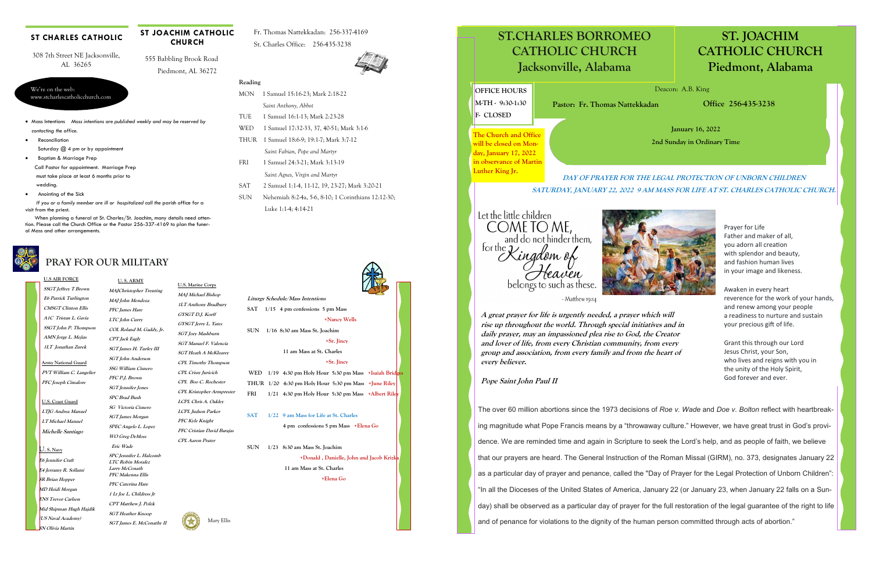### **U.S AIR FORCE**

**SSGT Jeffrey T Brown E6 Patrick Turlington CMSGT Clinton Ellis A1C Tristan L. Gavia SSGT John P. Thompson AMN Jorge L. Mejias 1LT Jonathan Zurek** 

# **PRAY FOR OUR MILITARY**

#### **ST CHARLES CATHOLIC**

#### **U. S. ARMY MAJChristopher Treuting**

**MAJ John Mendoza PFC James Hare LTC John Curry COL Roland M. Gaddy, Jr. CPT Jack Eagly SGT James H. Turley III SGT John Anderson SSG William Cisnero PFC P.J. Brown SGT Jennifer Jones SPC Brad Bush SG Victoria Cisnero SGT James Morgan SPEC Angelo L. Lopez WO Greg DeMoss Eric Wade SPC Jennifer L. Halcomb LTC Robin Moralez** 

**PFC Makenna Ellis PFC Caterina Hare 1 Lt Joe L. Childress Jr CPT Matthew J. Polek SGT Heather Knoop SGT James E. McConathy II** 

**Army National Guard PVT William C. Langelier PFC Joseph Cimalore** 

#### **U.S. Coast Guard LTJG Andrea Manuel LT Michael Manuel Michelle Santiago**

- 
- **•** Reconciliation Saturday @ 4 pm or by appointment Baptism & Marriage Prep
- Call Pastor for appointment. Marriage Prep
- must take place at least 6 months prior to wedding.
- Anointing of the Sick
- *If you or a family member are ill or hospitalized call the parish office for a* visit from the priest.
- When planning a funeral at St. Charles/St. Joachim, many details need attention. Please call the Church Office or the Pastor 256-337-4169 to plan the funeral Mass and other arrangements.

# We're on the web: www.stcharlescatholicchurch.com

308 7th Street NE Jacksonville, AL 36265

> WED 1 Samuel 17:32-33, 37, 40-51; Mark 3:1-6 THUR 1 Samuel 18:6-9; 19:1-7; Mark 3:7-12 *Saint Fabian, Pope and Martyr*

 555 Babbling Brook Road Piedmont, AL 36272

**ST JOACHIM CATHOLIC CHURCH** 

Fr. Thomas Nattekkadan: 256-337-4169

St. Charles Office: 256-435-3238



- **PFC Cristian David Barajas CPL Aaron Prater**
- **Larry McConath**

**Reading** 

MON 1 Samuel 15:16-23; Mark 2:18-22 *Saint Anthony, Abbot*  TUE 1 Samuel 16:1-13; Mark 2:23-28

FRI 1 Samuel 24:3-21; Mark 3:13-19

Luke 1:14; 4:14-21

 *Saint Agnes, Virgin and Martyr*  SAT 2 Samuel 1:1-4, 11-12, 19, 23-27; Mark 3:20-21 SUN Nehemiah 8:2-4a, 5-6, 8-10; 1 Corinthians 12:12-30;

#### **U.S. Marine Corps MAJ Michael Bishop 1LT Anthony Bradbury GYSGT D.J. Korff GYSGT Jerry L. Yates SGT Joey Mashburn SGT Manuel F. Valencia SGT Heath A McKlearey CPL Timothy Thompson CPL Crissy Juricich CPL Boo C. Rochester**

**CPL Kristopher Armprester LCPL Chris A. Oakley LCPL Judson Parker** 

**PFC Kyle Knight** 

#### **U. S. Navy**

**E6 Jennifer Craft E4 Jerramy R. Sollami SR Brian Hopper MD Heidi Morgan ENS Trevor Carlson Mid Shipman Hugh Hajdik (US Naval Academy) SN Olivia Martin** 

Mary Ellis

- **Liturgy Schedule/Mass Intentions SAT 1/15 4 pm confessions 5 pm Mass**
- **+Nancy Wells SUN 1/16 8:30 am Mass St. Joachim +Sr. Jincy 11 am Mass at St. Charles +Sr. Jincy WED 1/19 4:30 pm Holy Hour 5:30 pm Mass +Isaiah Bridges THUR 1/20 4:30 pm Holy Hour 5:30 pm Mass +June Riley**

- **FRI 1/21 4:30 pm Holy Hour 5:30 pm Mass +Albert Riley**
- **SAT 1/22 9 am Mass for Life at St. Charles**

 **4 pm confessions 5 pm Mass +Elena Go** 

**SUN 1/23 8:30 am Mass St. Joachim** 

 **+Donald , Danielle, John and Jacob Krizka 11 am Mass at St. Charles** 

 **+Elena Go** 









# **ST. JOACHIM CATHOLIC CHURCH Piedmont, Alabama**



**January 16, 2022 2nd Sunday in Ordinary Time** 

**Office 256-435-3238** 



- Matthew 19:14

**A great prayer for life is urgently needed, a prayer which will rise up throughout the world. Through special initiatives and in daily prayer, may an impassioned plea rise to God, the Creator and lover of life, from every Christian community, from every group and association, from every family and from the heart of every believer.** 

**Pope Saint John Paul II** 

The over 60 million abortions since the 1973 decisions of *Roe v. Wade* and *Doe v. Bolton* reflect with heartbreaking magnitude what Pope Francis means by a "throwaway culture." However, we have great trust in God's providence. We are reminded time and again in Scripture to seek the Lord's help, and as people of faith, we believe that our prayers are heard. The General Instruction of the Roman Missal (GIRM), no. 373, designates January 22 as a particular day of prayer and penance, called the "Day of Prayer for the Legal Protection of Unborn Children": "In all the Dioceses of the United States of America, January 22 (or January 23, when January 22 falls on a Sunday) shall be observed as a particular day of prayer for the full restoration of the legal guarantee of the right to life and of penance for violations to the dignity of the human person committed through acts of abortion."

Prayer for Life Father and maker of all, you adorn all creation with splendor and beauty, and fashion human lives in your image and likeness.

Awaken in every heart reverence for the work of your hands, and renew among your people a readiness to nurture and sustain your precious gift of life.

Grant this through our Lord Jesus Christ, your Son, who lives and reigns with you in the unity of the Holy Spirit, God forever and ever.

## **DAY OF PRAYER FOR THE LEGAL PROTECTION OF UNBORN CHILDREN SATURDAY, JANUARY 22, 2022 9 AM MASS FOR LIFE AT ST. CHARLES CATHOLIC CHURCH.**